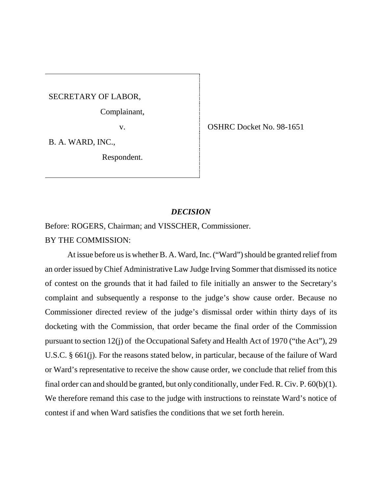SECRETARY OF LABOR,

Complainant,

v. SHRC Docket No. 98-1651

B. A. WARD, INC.,

Respondent.

#### *DECISION*

Before: ROGERS, Chairman; and VISSCHER, Commissioner. BY THE COMMISSION:

At issue before us is whether B. A. Ward, Inc. ("Ward") should be granted relief from an order issued by Chief Administrative Law Judge Irving Sommer that dismissed its notice of contest on the grounds that it had failed to file initially an answer to the Secretary's complaint and subsequently a response to the judge's show cause order. Because no Commissioner directed review of the judge's dismissal order within thirty days of its docketing with the Commission, that order became the final order of the Commission pursuant to section 12(j) of the Occupational Safety and Health Act of 1970 ("the Act"), 29 U.S.C. § 661(j). For the reasons stated below, in particular, because of the failure of Ward or Ward's representative to receive the show cause order, we conclude that relief from this final order can and should be granted, but only conditionally, under Fed. R. Civ. P. 60(b)(1). We therefore remand this case to the judge with instructions to reinstate Ward's notice of contest if and when Ward satisfies the conditions that we set forth herein.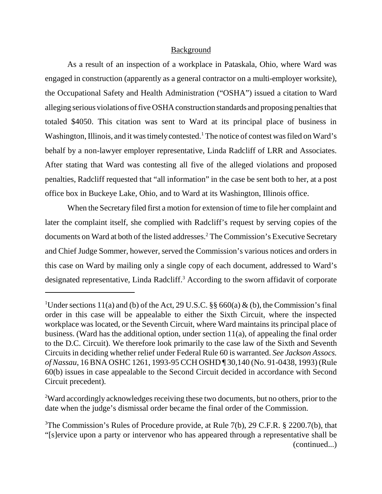### Background

As a result of an inspection of a workplace in Pataskala, Ohio, where Ward was engaged in construction (apparently as a general contractor on a multi-employer worksite), the Occupational Safety and Health Administration ("OSHA") issued a citation to Ward alleging serious violations of five OSHA construction standards and proposing penalties that totaled \$4050. This citation was sent to Ward at its principal place of business in Washington, Illinois, and it was timely contested.<sup>1</sup> The notice of contest was filed on Ward's behalf by a non-lawyer employer representative, Linda Radcliff of LRR and Associates. After stating that Ward was contesting all five of the alleged violations and proposed penalties, Radcliff requested that "all information" in the case be sent both to her, at a post office box in Buckeye Lake, Ohio, and to Ward at its Washington, Illinois office.

When the Secretary filed first a motion for extension of time to file her complaint and later the complaint itself, she complied with Radcliff's request by serving copies of the documents on Ward at both of the listed addresses.2 The Commission's Executive Secretary and Chief Judge Sommer, however, served the Commission's various notices and orders in this case on Ward by mailing only a single copy of each document, addressed to Ward's designated representative, Linda Radcliff.<sup>3</sup> According to the sworn affidavit of corporate

 $2$ Ward accordingly acknowledges receiving these two documents, but no others, prior to the date when the judge's dismissal order became the final order of the Commission.

<sup>&</sup>lt;sup>1</sup>Under sections 11(a) and (b) of the Act, 29 U.S.C.  $\S\S 660(a) \& (b)$ , the Commission's final order in this case will be appealable to either the Sixth Circuit, where the inspected workplace was located, or the Seventh Circuit, where Ward maintains its principal place of business. (Ward has the additional option, under section 11(a), of appealing the final order to the D.C. Circuit). We therefore look primarily to the case law of the Sixth and Seventh Circuits in deciding whether relief under Federal Rule 60 is warranted. *See Jackson Assocs. of Nassau*, 16 BNA OSHC 1261, 1993-95 CCH OSHD ¶ 30,140 (No. 91-0438, 1993) (Rule 60(b) issues in case appealable to the Second Circuit decided in accordance with Second Circuit precedent).

<sup>&</sup>lt;sup>3</sup>The Commission's Rules of Procedure provide, at Rule 7(b), 29 C.F.R. § 2200.7(b), that "[s]ervice upon a party or intervenor who has appeared through a representative shall be (continued...)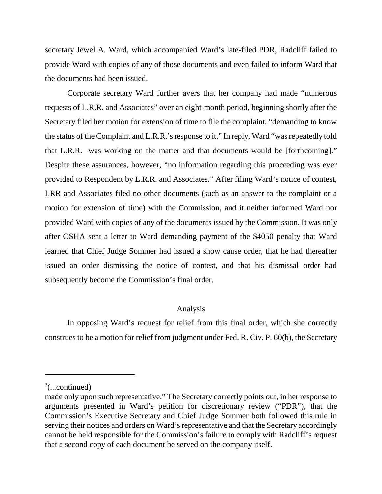secretary Jewel A. Ward, which accompanied Ward's late-filed PDR, Radcliff failed to provide Ward with copies of any of those documents and even failed to inform Ward that the documents had been issued.

Corporate secretary Ward further avers that her company had made "numerous requests of L.R.R. and Associates" over an eight-month period, beginning shortly after the Secretary filed her motion for extension of time to file the complaint, "demanding to know the status of the Complaint and L.R.R.'s response to it." In reply, Ward "was repeatedly told that L.R.R. was working on the matter and that documents would be [forthcoming]." Despite these assurances, however, "no information regarding this proceeding was ever provided to Respondent by L.R.R. and Associates." After filing Ward's notice of contest, LRR and Associates filed no other documents (such as an answer to the complaint or a motion for extension of time) with the Commission, and it neither informed Ward nor provided Ward with copies of any of the documents issued by the Commission. It was only after OSHA sent a letter to Ward demanding payment of the \$4050 penalty that Ward learned that Chief Judge Sommer had issued a show cause order, that he had thereafter issued an order dismissing the notice of contest, and that his dismissal order had subsequently become the Commission's final order.

## Analysis

In opposing Ward's request for relief from this final order, which she correctly construes to be a motion for relief from judgment under Fed. R. Civ. P. 60(b), the Secretary

 $\frac{3}{2}$ (...continued)

made only upon such representative." The Secretary correctly points out, in her response to arguments presented in Ward's petition for discretionary review ("PDR"), that the Commission's Executive Secretary and Chief Judge Sommer both followed this rule in serving their notices and orders on Ward's representative and that the Secretary accordingly cannot be held responsible for the Commission's failure to comply with Radcliff's request that a second copy of each document be served on the company itself.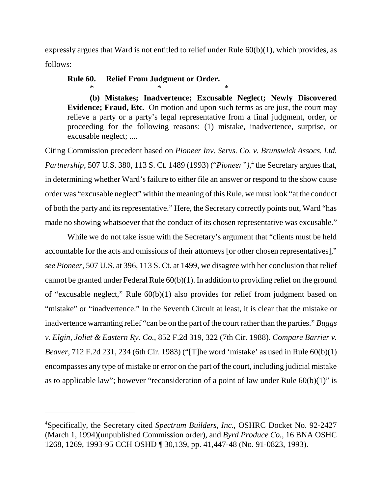expressly argues that Ward is not entitled to relief under Rule 60(b)(1), which provides, as follows:

# **Rule 60. Relief From Judgment or Order.**

 $*$   $*$ 

**(b) Mistakes; Inadvertence; Excusable Neglect; Newly Discovered Evidence; Fraud, Etc.** On motion and upon such terms as are just, the court may relieve a party or a party's legal representative from a final judgment, order, or proceeding for the following reasons: (1) mistake, inadvertence, surprise, or excusable neglect; ....

Citing Commission precedent based on *Pioneer Inv. Servs. Co. v. Brunswick Assocs. Ltd.* Partnership, 507 U.S. 380, 113 S. Ct. 1489 (1993) ("Pioneer"),<sup>4</sup> the Secretary argues that, in determining whether Ward's failure to either file an answer or respond to the show cause order was "excusable neglect" within the meaning of this Rule, we must look "at the conduct of both the party and its representative." Here, the Secretary correctly points out, Ward "has made no showing whatsoever that the conduct of its chosen representative was excusable."

While we do not take issue with the Secretary's argument that "clients must be held accountable for the acts and omissions of their attorneys [or other chosen representatives]," *see Pioneer*, 507 U.S. at 396, 113 S. Ct. at 1499, we disagree with her conclusion that relief cannot be granted under Federal Rule 60(b)(1). In addition to providing relief on the ground of "excusable neglect," Rule 60(b)(1) also provides for relief from judgment based on "mistake" or "inadvertence." In the Seventh Circuit at least, it is clear that the mistake or inadvertence warranting relief "can be on the part of the court rather than the parties." *Buggs v. Elgin, Joliet & Eastern Ry. Co.*, 852 F.2d 319, 322 (7th Cir. 1988). *Compare Barrier v. Beaver*, 712 F.2d 231, 234 (6th Cir. 1983) ("[T]he word 'mistake' as used in Rule 60(b)(1) encompasses any type of mistake or error on the part of the court, including judicial mistake as to applicable law"; however "reconsideration of a point of law under Rule  $60(b)(1)$ " is

<sup>4</sup> Specifically, the Secretary cited *Spectrum Builders, Inc.*, OSHRC Docket No. 92-2427 (March 1, 1994)(unpublished Commission order), and *Byrd Produce Co.*, 16 BNA OSHC 1268, 1269, 1993-95 CCH OSHD ¶ 30,139, pp. 41,447-48 (No. 91-0823, 1993).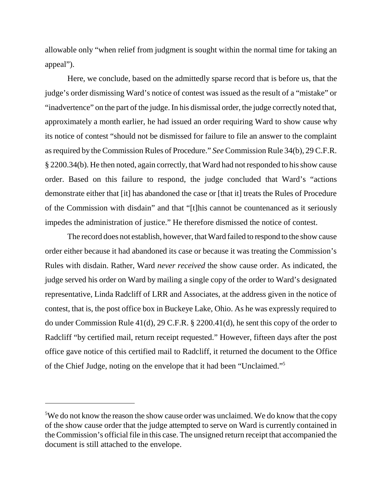allowable only "when relief from judgment is sought within the normal time for taking an appeal").

Here, we conclude, based on the admittedly sparse record that is before us, that the judge's order dismissing Ward's notice of contest was issued as the result of a "mistake" or "inadvertence" on the part of the judge. In his dismissal order, the judge correctly noted that, approximately a month earlier, he had issued an order requiring Ward to show cause why its notice of contest "should not be dismissed for failure to file an answer to the complaint as required by the Commission Rules of Procedure." *See* Commission Rule 34(b), 29 C.F.R. § 2200.34(b). He then noted, again correctly, that Ward had not responded to his show cause order. Based on this failure to respond, the judge concluded that Ward's "actions demonstrate either that [it] has abandoned the case or [that it] treats the Rules of Procedure of the Commission with disdain" and that "[t]his cannot be countenanced as it seriously impedes the administration of justice." He therefore dismissed the notice of contest.

The record does not establish, however, that Ward failed to respond to the show cause order either because it had abandoned its case or because it was treating the Commission's Rules with disdain. Rather, Ward *never received* the show cause order. As indicated, the judge served his order on Ward by mailing a single copy of the order to Ward's designated representative, Linda Radcliff of LRR and Associates, at the address given in the notice of contest, that is, the post office box in Buckeye Lake, Ohio. As he was expressly required to do under Commission Rule 41(d), 29 C.F.R. § 2200.41(d), he sent this copy of the order to Radcliff "by certified mail, return receipt requested." However, fifteen days after the post office gave notice of this certified mail to Radcliff, it returned the document to the Office of the Chief Judge, noting on the envelope that it had been "Unclaimed."5

<sup>&</sup>lt;sup>5</sup>We do not know the reason the show cause order was unclaimed. We do know that the copy of the show cause order that the judge attempted to serve on Ward is currently contained in the Commission's official file in this case. The unsigned return receipt that accompanied the document is still attached to the envelope.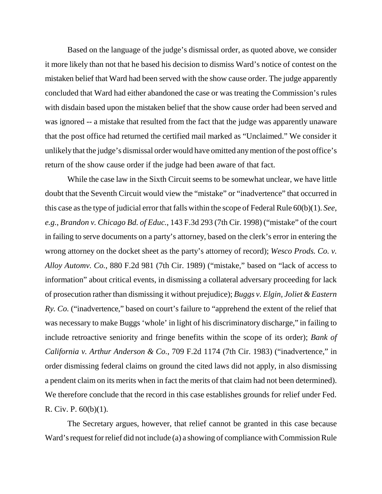Based on the language of the judge's dismissal order, as quoted above, we consider it more likely than not that he based his decision to dismiss Ward's notice of contest on the mistaken belief that Ward had been served with the show cause order. The judge apparently concluded that Ward had either abandoned the case or was treating the Commission's rules with disdain based upon the mistaken belief that the show cause order had been served and was ignored -- a mistake that resulted from the fact that the judge was apparently unaware that the post office had returned the certified mail marked as "Unclaimed." We consider it unlikely that the judge's dismissal order would have omitted any mention of the post office's return of the show cause order if the judge had been aware of that fact.

While the case law in the Sixth Circuit seems to be somewhat unclear, we have little doubt that the Seventh Circuit would view the "mistake" or "inadvertence" that occurred in this case as the type of judicial error that falls within the scope of Federal Rule 60(b)(1). *See*, *e.g.*, *Brandon v. Chicago Bd. of Educ.*, 143 F.3d 293 (7th Cir. 1998) ("mistake" of the court in failing to serve documents on a party's attorney, based on the clerk's error in entering the wrong attorney on the docket sheet as the party's attorney of record); *Wesco Prods. Co. v. Alloy Automv. Co.*, 880 F.2d 981 (7th Cir. 1989) ("mistake," based on "lack of access to information" about critical events, in dismissing a collateral adversary proceeding for lack of prosecution rather than dismissing it without prejudice); *Buggs v. Elgin, Joliet & Eastern Ry. Co.* ("inadvertence," based on court's failure to "apprehend the extent of the relief that was necessary to make Buggs 'whole' in light of his discriminatory discharge," in failing to include retroactive seniority and fringe benefits within the scope of its order); *Bank of California v. Arthur Anderson & Co.*, 709 F.2d 1174 (7th Cir. 1983) ("inadvertence," in order dismissing federal claims on ground the cited laws did not apply, in also dismissing a pendent claim on its merits when in fact the merits of that claim had not been determined). We therefore conclude that the record in this case establishes grounds for relief under Fed. R. Civ. P. 60(b)(1).

The Secretary argues, however, that relief cannot be granted in this case because Ward's request for relief did not include (a) a showing of compliance with Commission Rule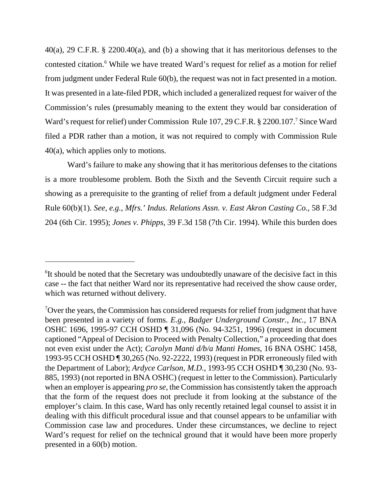40(a), 29 C.F.R. § 2200.40(a), and (b) a showing that it has meritorious defenses to the contested citation.<sup>6</sup> While we have treated Ward's request for relief as a motion for relief from judgment under Federal Rule 60(b), the request was not in fact presented in a motion. It was presented in a late-filed PDR, which included a generalized request for waiver of the Commission's rules (presumably meaning to the extent they would bar consideration of Ward's request for relief) under Commission Rule 107, 29 C.F.R. § 2200.107.<sup>7</sup> Since Ward filed a PDR rather than a motion, it was not required to comply with Commission Rule 40(a), which applies only to motions.

Ward's failure to make any showing that it has meritorious defenses to the citations is a more troublesome problem. Both the Sixth and the Seventh Circuit require such a showing as a prerequisite to the granting of relief from a default judgment under Federal Rule 60(b)(1). *See*, *e.g.*, *Mfrs.' Indus. Relations Assn. v. East Akron Casting Co.*, 58 F.3d 204 (6th Cir. 1995); *Jones v. Phipps*, 39 F.3d 158 (7th Cir. 1994). While this burden does

<sup>&</sup>lt;sup>6</sup>It should be noted that the Secretary was undoubtedly unaware of the decisive fact in this case -- the fact that neither Ward nor its representative had received the show cause order, which was returned without delivery.

<sup>&</sup>lt;sup>7</sup>Over the years, the Commission has considered requests for relief from judgment that have been presented in a variety of forms. *E.g.*, *Badger Underground Constr., Inc.,* 17 BNA OSHC 1696, 1995-97 CCH OSHD ¶ 31,096 (No. 94-3251, 1996) (request in document captioned "Appeal of Decision to Proceed with Penalty Collection," a proceeding that does not even exist under the Act); *Carolyn Manti d/b/a Manti Homes*, 16 BNA OSHC 1458, 1993-95 CCH OSHD ¶ 30,265 (No. 92-2222, 1993) (request in PDR erroneously filed with the Department of Labor); *Ardyce Carlson, M.D.*, 1993-95 CCH OSHD ¶ 30,230 (No. 93- 885, 1993) (not reported in BNA OSHC) (request in letter to the Commission). Particularly when an employer is appearing *pro se*, the Commission has consistently taken the approach that the form of the request does not preclude it from looking at the substance of the employer's claim. In this case, Ward has only recently retained legal counsel to assist it in dealing with this difficult procedural issue and that counsel appears to be unfamiliar with Commission case law and procedures. Under these circumstances, we decline to reject Ward's request for relief on the technical ground that it would have been more properly presented in a 60(b) motion.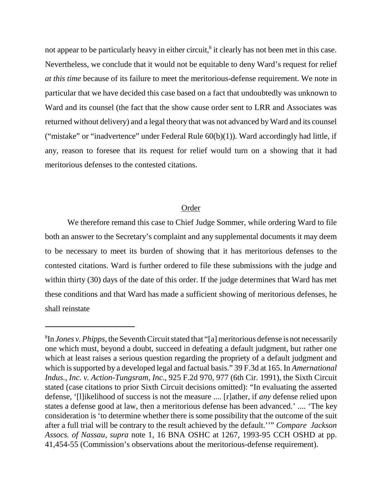not appear to be particularly heavy in either circuit,<sup>8</sup> it clearly has not been met in this case. Nevertheless, we conclude that it would not be equitable to deny Ward's request for relief *at this time* because of its failure to meet the meritorious-defense requirement. We note in particular that we have decided this case based on a fact that undoubtedly was unknown to Ward and its counsel (the fact that the show cause order sent to LRR and Associates was returned without delivery) and a legal theory that was not advanced by Ward and its counsel ("mistake" or "inadvertence" under Federal Rule  $60(b)(1)$ ). Ward accordingly had little, if any, reason to foresee that its request for relief would turn on a showing that it had meritorious defenses to the contested citations.

### Order

We therefore remand this case to Chief Judge Sommer, while ordering Ward to file both an answer to the Secretary's complaint and any supplemental documents it may deem to be necessary to meet its burden of showing that it has meritorious defenses to the contested citations. Ward is further ordered to file these submissions with the judge and within thirty (30) days of the date of this order. If the judge determines that Ward has met these conditions and that Ward has made a sufficient showing of meritorious defenses, he shall reinstate

<sup>8</sup> In *Jones v. Phipps*, the Seventh Circuit stated that "[a] meritorious defense is not necessarily one which must, beyond a doubt, succeed in defeating a default judgment, but rather one which at least raises a serious question regarding the propriety of a default judgment and which is supported by a developed legal and factual basis." 39 F.3d at 165. In *Amernational Indus., Inc. v. Action-Tungsram, Inc.*, 925 F.2d 970, 977 (6th Cir. 1991), the Sixth Circuit stated (case citations to prior Sixth Circuit decisions omitted): "In evaluating the asserted defense, '[l]ikelihood of success is not the measure .... [r]ather, if *any* defense relied upon states a defense good at law, then a meritorious defense has been advanced.' .... 'The key consideration is 'to determine whether there is some possibility that the outcome of the suit after a full trial will be contrary to the result achieved by the default.''" *Compare Jackson Assocs. of Nassau*, *supra* note 1, 16 BNA OSHC at 1267, 1993-95 CCH OSHD at pp. 41,454-55 (Commission's observations about the meritorious-defense requirement).